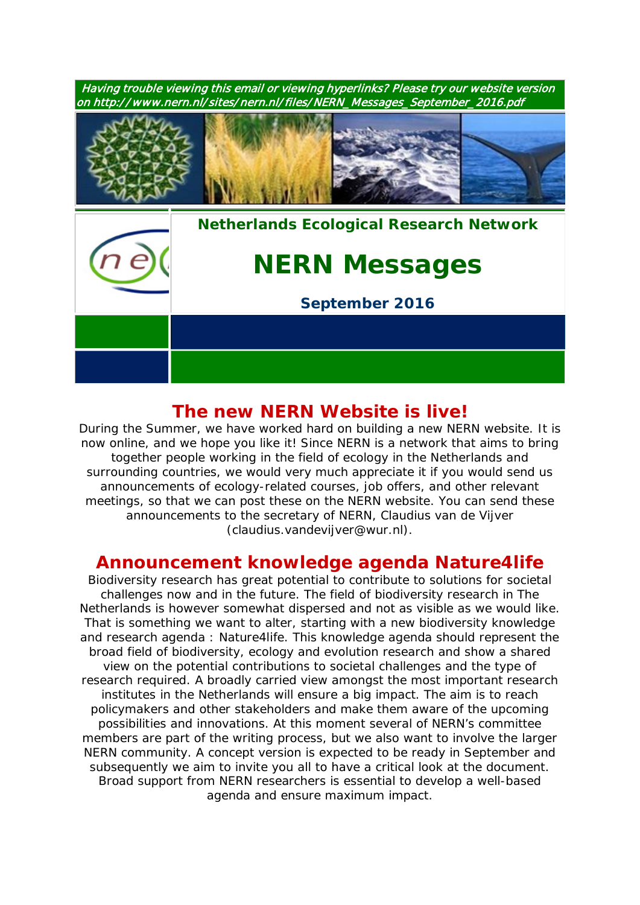

## **The new NERN Website is live!**

During the Summer, we have worked hard on building a new NERN website. It is now online, and we hope you like it! Since NERN is a network that aims to bring together people working in the field of ecology in the Netherlands and surrounding countries, we would very much appreciate it if you would send us announcements of ecology-related courses, job offers, and other relevant meetings, so that we can post these on the NERN website. You can send these announcements to the secretary of NERN, Claudius van de Vijver (claudius.vandevijver@wur.nl).

## **Announcement knowledge agenda Nature4***life*

Biodiversity research has great potential to contribute to solutions for societal challenges now and in the future. The field of biodiversity research in The Netherlands is however somewhat dispersed and not as visible as we would like. That is something we want to alter, starting with a new biodiversity knowledge and research agenda : Nature4*life*. This knowledge agenda should represent the broad field of biodiversity, ecology and evolution research and show a shared view on the potential contributions to societal challenges and the type of research required. A broadly carried view amongst the most important research institutes in the Netherlands will ensure a big impact. The aim is to reach policymakers and other stakeholders and make them aware of the upcoming possibilities and innovations. At this moment several of NERN's committee members are part of the writing process, but we also want to involve the larger NERN community. A concept version is expected to be ready in September and subsequently we aim to invite you all to have a critical look at the document. Broad support from NERN researchers is essential to develop a well-based agenda and ensure maximum impact.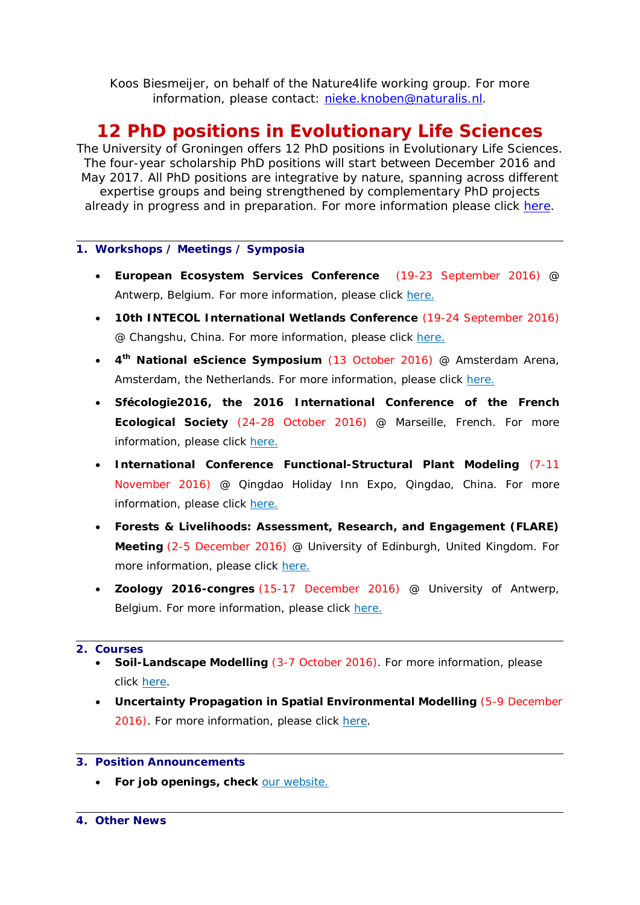Koos Biesmeijer, on behalf of the Nature4*life* working group. For more information, please contact: [nieke.knoben@naturalis.nl.](mailto:nieke.knoben@naturalis.nl)

# **12 PhD positions in Evolutionary Life Sciences**

The University of Groningen offers 12 PhD positions in Evolutionary Life Sciences. The four-year scholarship PhD positions will start between December 2016 and May 2017. All PhD positions are integrative by nature, spanning across different expertise groups and being strengthened by complementary PhD projects already in progress and in preparation. For more information please click [here.](http://www.rug.nl/research/fmns/themes/adaptive-life/research/phd-projects)

#### **1. Workshops / Meetings / Symposia**

- **European Ecosystem Services Conference** (19-23 September 2016) @ Antwerp, Belgium. For more information, please click [here.](http://www.esconference2016.eu/)
- **10th INTECOL International Wetlands Conference** (19-24 September 2016) @ Changshu, China. For more information, please click [here.](http://www.intecol-10iwc.com/EN/Index.aspx)
- **4th National eScience Symposium** (13 October 2016) @ Amsterdam Arena, Amsterdam, the Netherlands. For more information, please click [here.](http://www.esconference2016.eu/)
- **Sfécologie2016, the 2016 International Conference of the French Ecological Society** (24-28 October 2016) @ Marseille, French. For more information, please click [here.](http://sfecologie2016.sciencesconf.org/)
- **International Conference Functional-Structural Plant Modeling** (7-11 November 2016) @ Qingdao Holiday Inn Expo, Qingdao, China. For more information, please click [here.](http://www.fspma2016.net/dct/page/1)
- **Forests & Livelihoods: Assessment, Research, and Engagement (FLARE) Meeting** (2-5 December 2016) @ University of Edinburgh, United Kingdom. For more information, please click [here.](http://www.forestlivelihoods.org/flare-meeting-2016)
- **Zoology 2016-congres** (15-17 December 2016) @ University of Antwerp, Belgium. For more information, please click [here.](http://www.zoology2016.be/)

#### **2. Courses**

- **Soil-Landscape Modelling** (3-7 October 2016). For more information, please click [here.](https://www.pe-rc.nl/soil-landscape-modelling)
- **Uncertainty Propagation in Spatial Environmental Modelling** (5-9 December 2016). For more information, please click [here.](https://www.pe-rc.nl/node/19166)

### **3. Position Announcements**

• **For job openings, check** [our website.](http://www.nern.nl/node/16)

#### **4. Other News**